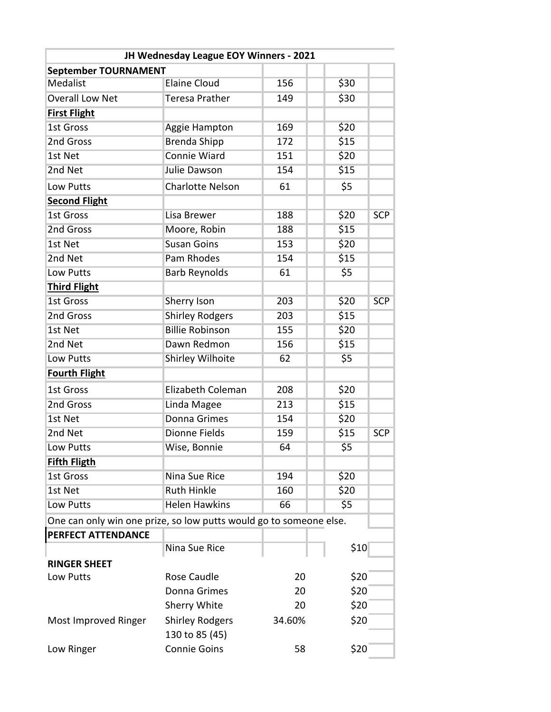| JH Wednesday League EOY Winners - 2021                             |                         |        |      |            |  |  |  |  |
|--------------------------------------------------------------------|-------------------------|--------|------|------------|--|--|--|--|
| September TOURNAMENT                                               |                         |        |      |            |  |  |  |  |
| <b>Medalist</b>                                                    | <b>Elaine Cloud</b>     | 156    | \$30 |            |  |  |  |  |
| <b>Overall Low Net</b>                                             | <b>Teresa Prather</b>   | 149    | \$30 |            |  |  |  |  |
| <b>First Flight</b>                                                |                         |        |      |            |  |  |  |  |
| <b>1st Gross</b>                                                   | Aggie Hampton           | 169    | \$20 |            |  |  |  |  |
| 2nd Gross                                                          | <b>Brenda Shipp</b>     | 172    | \$15 |            |  |  |  |  |
| 1st Net                                                            | Connie Wiard            | 151    | \$20 |            |  |  |  |  |
| 2nd Net                                                            | Julie Dawson            | 154    | \$15 |            |  |  |  |  |
| Low Putts                                                          | <b>Charlotte Nelson</b> | 61     | \$5  |            |  |  |  |  |
| <b>Second Flight</b>                                               |                         |        |      |            |  |  |  |  |
| <b>1st Gross</b>                                                   | Lisa Brewer             | 188    | \$20 | <b>SCP</b> |  |  |  |  |
| 2nd Gross                                                          | Moore, Robin            | 188    | \$15 |            |  |  |  |  |
| 1st Net                                                            | <b>Susan Goins</b>      | 153    | \$20 |            |  |  |  |  |
| 2nd Net                                                            | Pam Rhodes              | 154    | \$15 |            |  |  |  |  |
| Low Putts                                                          | <b>Barb Reynolds</b>    | 61     | \$5  |            |  |  |  |  |
| <b>Third Flight</b>                                                |                         |        |      |            |  |  |  |  |
| <b>1st Gross</b>                                                   | Sherry Ison             | 203    | \$20 | <b>SCP</b> |  |  |  |  |
| 2nd Gross                                                          | <b>Shirley Rodgers</b>  | 203    | \$15 |            |  |  |  |  |
| 1st Net                                                            | <b>Billie Robinson</b>  | 155    | \$20 |            |  |  |  |  |
| 2nd Net                                                            | Dawn Redmon             | 156    | \$15 |            |  |  |  |  |
| Low Putts                                                          | <b>Shirley Wilhoite</b> | 62     | \$5  |            |  |  |  |  |
| <b>Fourth Flight</b>                                               |                         |        |      |            |  |  |  |  |
| 1st Gross                                                          | Elizabeth Coleman       | 208    | \$20 |            |  |  |  |  |
| 2nd Gross                                                          | Linda Magee             | 213    | \$15 |            |  |  |  |  |
| 1st Net                                                            | <b>Donna Grimes</b>     | 154    | \$20 |            |  |  |  |  |
| 2nd Net                                                            | <b>Dionne Fields</b>    | 159    | \$15 | <b>SCP</b> |  |  |  |  |
| Low Putts                                                          | Wise, Bonnie            | 64     | \$5  |            |  |  |  |  |
| <b>Fifth Fligth</b>                                                |                         |        |      |            |  |  |  |  |
| <b>1st Gross</b>                                                   | <b>Nina Sue Rice</b>    | 194    | \$20 |            |  |  |  |  |
| 1st Net                                                            | <b>Ruth Hinkle</b>      | 160    | \$20 |            |  |  |  |  |
| Low Putts                                                          | <b>Helen Hawkins</b>    | 66     | \$5  |            |  |  |  |  |
| One can only win one prize, so low putts would go to someone else. |                         |        |      |            |  |  |  |  |
| <b>PERFECT ATTENDANCE</b>                                          |                         |        |      |            |  |  |  |  |
|                                                                    | Nina Sue Rice           |        | \$10 |            |  |  |  |  |
| <b>RINGER SHEET</b>                                                |                         |        |      |            |  |  |  |  |
| Low Putts                                                          | Rose Caudle             | 20     | \$20 |            |  |  |  |  |
|                                                                    | Donna Grimes            | 20     | \$20 |            |  |  |  |  |
|                                                                    | Sherry White            | 20     | \$20 |            |  |  |  |  |
| Most Improved Ringer                                               | <b>Shirley Rodgers</b>  | 34.60% | \$20 |            |  |  |  |  |
|                                                                    | 130 to 85 (45)          |        |      |            |  |  |  |  |
| Low Ringer                                                         | <b>Connie Goins</b>     | 58     | \$20 |            |  |  |  |  |